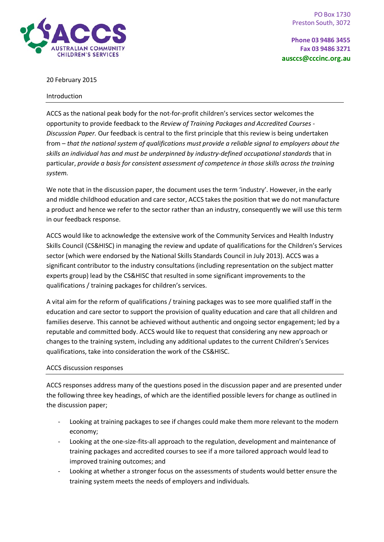



20 February 2015

#### Introduction

ACCS as the national peak body for the not-for-profit children's services sector welcomes the opportunity to provide feedback to the *Review of Training Packages and Accredited Courses - Discussion Paper.* Our feedback is central to the first principle that this review is being undertaken from – *that the national system of qualifications must provide a reliable signal to employers about the skills an individual has and must be underpinned by industry-defined occupational standards* that in particular, *provide a basis for consistent assessment of competence in those skills across the training system.*

We note that in the discussion paper, the document uses the term 'industry'. However, in the early and middle childhood education and care sector, ACCS takes the position that we do not manufacture a product and hence we refer to the sector rather than an industry, consequently we will use this term in our feedback response.

ACCS would like to acknowledge the extensive work of the Community Services and Health Industry Skills Council (CS&HISC) in managing the review and update of qualifications for the Children's Services sector (which were endorsed by the National Skills Standards Council in July 2013). ACCS was a significant contributor to the industry consultations (including representation on the subject matter experts group) lead by the CS&HISC that resulted in some significant improvements to the qualifications / training packages for children's services.

A vital aim for the reform of qualifications / training packages was to see more qualified staff in the education and care sector to support the provision of quality education and care that all children and families deserve. This cannot be achieved without authentic and ongoing sector engagement; led by a reputable and committed body. ACCS would like to request that considering any new approach or changes to the training system, including any additional updates to the current Children's Services qualifications, take into consideration the work of the CS&HISC.

## ACCS discussion responses

ACCS responses address many of the questions posed in the discussion paper and are presented under the following three key headings, of which are the identified possible levers for change as outlined in the discussion paper;

- Looking at training packages to see if changes could make them more relevant to the modern economy;
- Looking at the one-size-fits-all approach to the regulation, development and maintenance of training packages and accredited courses to see if a more tailored approach would lead to improved training outcomes; and
- Looking at whether a stronger focus on the assessments of students would better ensure the training system meets the needs of employers and individuals.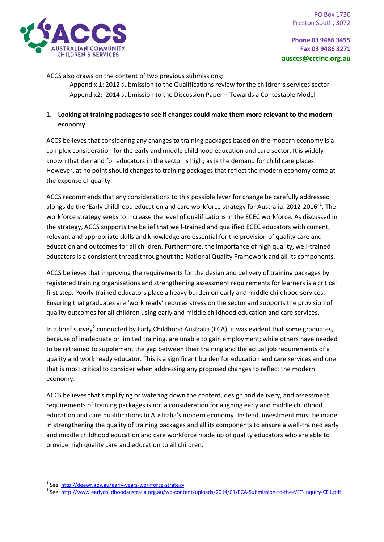

ACCS also draws on the content of two previous submissions;

- Appendix 1: 2012 submission to the Qualifications review for the children's services sector
- Appendix2: 2014 submission to the Discussion Paper Towards a Contestable Model

# **1. Looking at training packages to see if changes could make them more relevant to the modern economy**

ACCS believes that considering any changes to training packages based on the modern economy is a complex consideration for the early and middle childhood education and care sector. It is widely known that demand for educators in the sector is high; as is the demand for child care places. However, at no point should changes to training packages that reflect the modern economy come at the expense of quality.

ACCS recommends that any considerations to this possible lever for change be carefully addressed alongside the 'Early childhood education and care workforce strategy for Australia: 20[1](#page-1-0)2-2016'<sup>1</sup>. The workforce strategy seeks to increase the level of qualifications in the ECEC workforce. As discussed in the strategy, ACCS supports the belief that well-trained and qualified ECEC educators with current, relevant and appropriate skills and knowledge are essential for the provision of quality care and education and outcomes for all children. Furthermore, the importance of high quality, well-trained educators is a consistent thread throughout the National Quality Framework and all its components.

ACCS believes that improving the requirements for the design and delivery of training packages by registered training organisations and strengthening assessment requirements for learners is a critical first step. Poorly trained educators place a heavy burden on early and middle childhood services. Ensuring that graduates are 'work ready' reduces stress on the sector and supports the provision of quality outcomes for all children using early and middle childhood education and care services.

In a brief survey<sup>[2](#page-1-1)</sup> conducted by Early Childhood Australia (ECA), it was evident that some graduates, because of inadequate or limited training, are unable to gain employment; while others have needed to be retrained to supplement the gap between their training and the actual job requirements of a quality and work ready educator. This is a significant burden for education and care services and one that is most critical to consider when addressing any proposed changes to reflect the modern economy.

ACCS believes that simplifying or watering down the content, design and delivery, and assessment requirements of training packages is not a consideration for aligning early and middle childhood education and care qualifications to Australia's modern economy. Instead, investment must be made in strengthening the quality of training packages and all its components to ensure a well-trained early and middle childhood education and care workforce made up of quality educators who are able to provide high quality care and education to all children.

<span id="page-1-1"></span><span id="page-1-0"></span><sup>&</sup>lt;sup>1</sup> See[: http://deewr.gov.au/early-years-workforce-strategy](http://deewr.gov.au/early-years-workforce-strategy)<br><sup>2</sup> See[: http://www.earlychildhoodaustralia.org.au/wp-content/uploads/2014/01/ECA-Submission-to-the-VET-Inquiry-CE1.pdf](http://www.earlychildhoodaustralia.org.au/wp-content/uploads/2014/01/ECA-Submission-to-the-VET-Inquiry-CE1.pdf)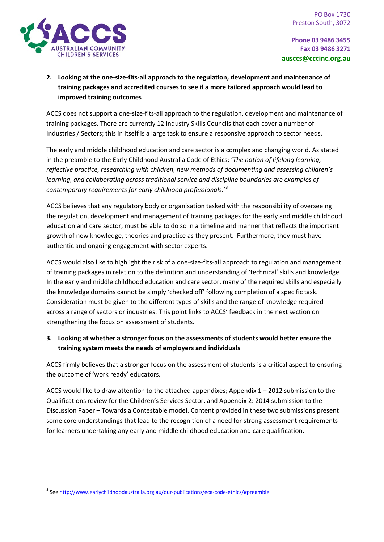

# **2. Looking at the one-size-fits-all approach to the regulation, development and maintenance of training packages and accredited courses to see if a more tailored approach would lead to improved training outcomes**

ACCS does not support a one-size-fits-all approach to the regulation, development and maintenance of training packages. There are currently 12 Industry Skills Councils that each cover a number of Industries / Sectors; this in itself is a large task to ensure a responsive approach to sector needs.

The early and middle childhood education and care sector is a complex and changing world. As stated in the preamble to the Early Childhood Australia Code of Ethics; '*The notion of lifelong learning, reflective practice, researching with children, new methods of documenting and assessing children's learning, and collaborating across traditional service and discipline boundaries are examples of contemporary requirements for early childhood professionals.*' [3](#page-2-0)

ACCS believes that any regulatory body or organisation tasked with the responsibility of overseeing the regulation, development and management of training packages for the early and middle childhood education and care sector, must be able to do so in a timeline and manner that reflects the important growth of new knowledge, theories and practice as they present. Furthermore, they must have authentic and ongoing engagement with sector experts.

ACCS would also like to highlight the risk of a one-size-fits-all approach to regulation and management of training packages in relation to the definition and understanding of 'technical' skills and knowledge. In the early and middle childhood education and care sector, many of the required skills and especially the knowledge domains cannot be simply 'checked off' following completion of a specific task. Consideration must be given to the different types of skills and the range of knowledge required across a range of sectors or industries. This point links to ACCS' feedback in the next section on strengthening the focus on assessment of students.

# **3. Looking at whether a stronger focus on the assessments of students would better ensure the training system meets the needs of employers and individuals**

ACCS firmly believes that a stronger focus on the assessment of students is a critical aspect to ensuring the outcome of 'work ready' educators.

ACCS would like to draw attention to the attached appendixes; Appendix  $1 - 2012$  submission to the Qualifications review for the Children's Services Sector, and Appendix 2: 2014 submission to the Discussion Paper – Towards a Contestable model. Content provided in these two submissions present some core understandings that lead to the recognition of a need for strong assessment requirements for learners undertaking any early and middle childhood education and care qualification.

<span id="page-2-0"></span><sup>&</sup>lt;sup>3</sup> Se[e http://www.earlychildhoodaustralia.org.au/our-publications/eca-code-ethics/#preamble](http://www.earlychildhoodaustralia.org.au/our-publications/eca-code-ethics/#preamble)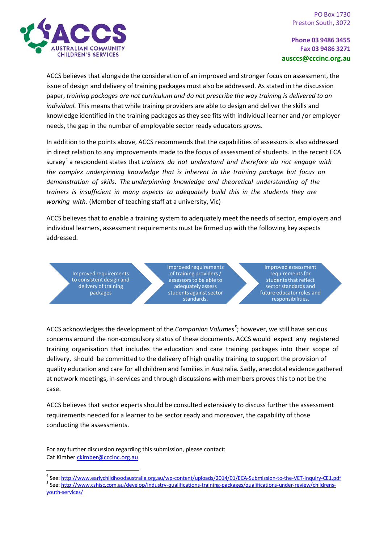

ACCS believes that alongside the consideration of an improved and stronger focus on assessment, the issue of design and delivery of training packages must also be addressed. As stated in the discussion paper, *training packages are not curriculum and do not prescribe the way training is delivered to an individual.* This means that while training providers are able to design and deliver the skills and knowledge identified in the training packages as they see fits with individual learner and /or employer needs, the gap in the number of employable sector ready educators grows.

In addition to the points above, ACCS recommends that the capabilities of assessors is also addressed in direct relation to any improvements made to the focus of assessment of students. In the recent ECA survey<sup>[4](#page-3-0)</sup> a respondent states that *trainers do not understand and therefore do not engage with the complex underpinning knowledge that is inherent in the training package but focus on demonstration of skills. The underpinning knowledge and theoretical understanding of the trainers is insufficient in many aspects to adequately build this in the students they are working with.* (Member of teaching staff at a university, Vic)

ACCS believes that to enable a training system to adequately meet the needs of sector, employers and individual learners, assessment requirements must be firmed up with the following key aspects addressed.

Improved requirements to consistent design and delivery of training packages

Improved requirements of training providers / assessors to be able to adequately assess students against sector standards.

Improved assessment requirements for students that reflect sector standards and future educator roles and responsibilities.

ACCS acknowledges the development of the *Companion Volumes<sup>[5](#page-3-1)</sup>;* however, we still have serious concerns around the non-compulsory status of these documents. ACCS would expect any registered training organisation that includes the education and care training packages into their scope of delivery, should be committed to the delivery of high quality training to support the provision of quality education and care for all children and families in Australia. Sadly, anecdotal evidence gathered at network meetings, in-services and through discussions with members proves this to not be the case.

ACCS believes that sector experts should be consulted extensively to discuss further the assessment requirements needed for a learner to be sector ready and moreover, the capability of those conducting the assessments.

For any further discussion regarding this submission, please contact: Cat Kimbe[r ckimber@cccinc.org.au](mailto:ckimber@cccinc.org.au)

<span id="page-3-1"></span><span id="page-3-0"></span><sup>4</sup> See[: http://www.earlychildhoodaustralia.org.au/wp-content/uploads/2014/01/ECA-Submission-to-the-VET-Inquiry-CE1.pdf](http://www.earlychildhoodaustralia.org.au/wp-content/uploads/2014/01/ECA-Submission-to-the-VET-Inquiry-CE1.pdf)<br><sup>5</sup> See: http<u>://www.cshisc.com.au/develop/industry-qualifications-training-packages/qualifications-un</u> [youth-services/](http://www.cshisc.com.au/develop/industry-qualifications-training-packages/qualifications-under-review/childrens-youth-services/)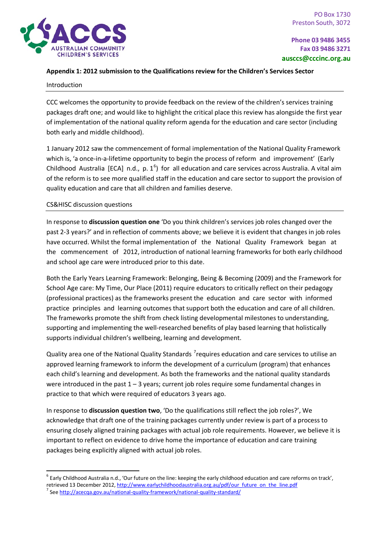### **Appendix 1: 2012 submission to the Qualifications review for the Children's Services Sector**

#### Introduction

CCC welcomes the opportunity to provide feedback on the review of the children's services training packages draft one; and would like to highlight the critical place this review has alongside the first year of implementation of the national quality reform agenda for the education and care sector (including both early and middle childhood).

1 January 2012 saw the commencement of formal implementation of the National Quality Framework which is, 'a once-in-a-lifetime opportunity to begin the process of reform and improvement' (Early Childhood Australia [ECA] n.d., p.  $1^6$  $1^6$ ) for all education and care services across Australia. A vital aim of the reform is to see more qualified staff in the education and care sector to support the provision of quality education and care that all children and families deserve.

### CS&HISC discussion questions

In response to **discussion question one** 'Do you think children's services job roles changed over the past 2-3 years?' and in reflection of comments above; we believe it is evident that changes in job roles have occurred. Whilst the formal implementation of the National Quality Framework began at the commencement of 2012, introduction of national learning frameworks for both early childhood and school age care were introduced prior to this date.

Both the Early Years Learning Framework: Belonging, Being & Becoming (2009) and the Framework for School Age care: My Time, Our Place (2011) require educators to critically reflect on their pedagogy (professional practices) as the frameworks present the education and care sector with informed practice principles and learning outcomes that support both the education and care of all children. The frameworks promote the shift from check listing developmental milestones to understanding, supporting and implementing the well-researched benefits of play based learning that holistically supports individual children's wellbeing, learning and development.

Quality area one of the National Quality Standards <sup>[7](#page-4-1)</sup>requires education and care services to utilise an approved learning framework to inform the development of a curriculum (program) that enhances each child's learning and development. As both the frameworks and the national quality standards were introduced in the past  $1 - 3$  years; current job roles require some fundamental changes in practice to that which were required of educators 3 years ago.

In response to **discussion question two**, 'Do the qualifications still reflect the job roles?', We acknowledge that draft one of the training packages currently under review is part of a process to ensuring closely aligned training packages with actual job role requirements. However, we believe it is important to reflect on evidence to drive home the importance of education and care training packages being explicitly aligned with actual job roles.

<span id="page-4-1"></span><span id="page-4-0"></span> $6$  Early Childhood Australia n.d., 'Our future on the line: keeping the early childhood education and care reforms on track', retrieved 13 December 2012[, http://www.earlychildhoodaustralia.org.au/pdf/our\\_future\\_on\\_the\\_line.pdf](http://www.earlychildhoodaustralia.org.au/pdf/our_future_on_the_line.pdf) 7 Se[e http://acecqa.gov.au/national-quality-framework/national-quality-standard/](http://acecqa.gov.au/national-quality-framework/national-quality-standard/)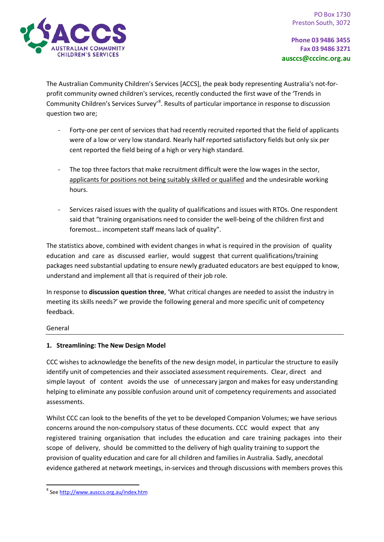

The Australian Community Children's Services [ACCS], the peak body representing Australia's not-forprofit community owned children's services, recently conducted the first wave of the 'Trends in Community Children's Services Survey'<sup>[8](#page-5-0)</sup>. Results of particular importance in response to discussion question two are;

- Forty-one per cent of services that had recently recruited reported that the field of applicants were of a low or very low standard. Nearly half reported satisfactory fields but only six per cent reported the field being of a high or very high standard.
- The top three factors that make recruitment difficult were the low wages in the sector, applicants for positions not being suitably skilled or qualified and the undesirable working hours.
- Services raised issues with the quality of qualifications and issues with RTOs. One respondent said that "training organisations need to consider the well-being of the children first and foremost… incompetent staff means lack of quality".

The statistics above, combined with evident changes in what is required in the provision of quality education and care as discussed earlier, would suggest that current qualifications/training packages need substantial updating to ensure newly graduated educators are best equipped to know, understand and implement all that is required of their job role.

In response to **discussion question three**, 'What critical changes are needed to assist the industry in meeting its skills needs?' we provide the following general and more specific unit of competency feedback.

## General

# **1. Streamlining: The New Design Model**

CCC wishes to acknowledge the benefits of the new design model, in particular the structure to easily identify unit of competencies and their associated assessment requirements. Clear, direct and simple layout of content avoids the use of unnecessary jargon and makes for easy understanding helping to eliminate any possible confusion around unit of competency requirements and associated assessments.

Whilst CCC can look to the benefits of the yet to be developed Companion Volumes; we have serious concerns around the non-compulsory status of these documents. CCC would expect that any registered training organisation that includes the education and care training packages into their scope of delivery, should be committed to the delivery of high quality training to support the provision of quality education and care for all children and families in Australia. Sadly, anecdotal evidence gathered at network meetings, in-services and through discussions with members proves this

<span id="page-5-0"></span> <sup>8</sup> Se[e http://www.ausccs.org.au/index.htm](http://www.ausccs.org.au/index.htm)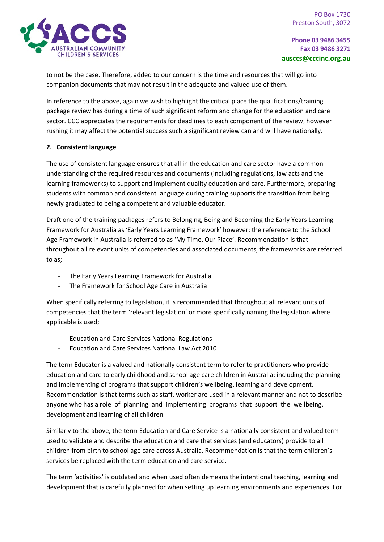

to not be the case. Therefore, added to our concern is the time and resources that will go into companion documents that may not result in the adequate and valued use of them.

In reference to the above, again we wish to highlight the critical place the qualifications/training package review has during a time of such significant reform and change for the education and care sector. CCC appreciates the requirements for deadlines to each component of the review, however rushing it may affect the potential success such a significant review can and will have nationally.

### **2. Consistent language**

The use of consistent language ensures that all in the education and care sector have a common understanding of the required resources and documents (including regulations, law acts and the learning frameworks) to support and implement quality education and care. Furthermore, preparing students with common and consistent language during training supports the transition from being newly graduated to being a competent and valuable educator.

Draft one of the training packages refers to Belonging, Being and Becoming the Early Years Learning Framework for Australia as 'Early Years Learning Framework' however; the reference to the School Age Framework in Australia is referred to as 'My Time, Our Place'. Recommendation is that throughout all relevant units of competencies and associated documents, the frameworks are referred to as;

- The Early Years Learning Framework for Australia
- The Framework for School Age Care in Australia

When specifically referring to legislation, it is recommended that throughout all relevant units of competencies that the term 'relevant legislation' or more specifically naming the legislation where applicable is used;

- Education and Care Services National Regulations
- Education and Care Services National Law Act 2010

The term Educator is a valued and nationally consistent term to refer to practitioners who provide education and care to early childhood and school age care children in Australia; including the planning and implementing of programs that support children's wellbeing, learning and development. Recommendation is that terms such as staff, worker are used in a relevant manner and not to describe anyone who has a role of planning and implementing programs that support the wellbeing, development and learning of all children.

Similarly to the above, the term Education and Care Service is a nationally consistent and valued term used to validate and describe the education and care that services (and educators) provide to all children from birth to school age care across Australia. Recommendation is that the term children's services be replaced with the term education and care service.

The term 'activities' is outdated and when used often demeans the intentional teaching, learning and development that is carefully planned for when setting up learning environments and experiences. For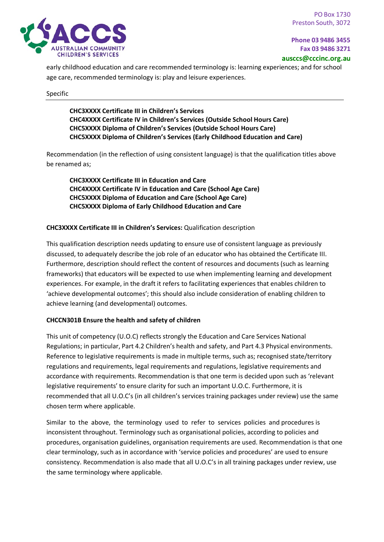early childhood education and care recommended terminology is: learning experiences; and for school age care, recommended terminology is: play and leisure experiences.

#### Specific

**CHC3XXXX Certificate III in Children's Services CHC4XXXX Certificate IV in Children's Services (Outside School Hours Care) CHC5XXXX Diploma of Children's Services (Outside School Hours Care) CHC5XXXX Diploma of Children's Services (Early Childhood Education and Care)**

Recommendation (in the reflection of using consistent language) is that the qualification titles above be renamed as;

**CHC3XXXX Certificate III in Education and Care CHC4XXXX Certificate IV in Education and Care (School Age Care) CHC5XXXX Diploma of Education and Care (School Age Care) CHC5XXXX Diploma of Early Childhood Education and Care**

### **CHC3XXXX Certificate III in Children's Services:** Qualification description

This qualification description needs updating to ensure use of consistent language as previously discussed, to adequately describe the job role of an educator who has obtained the Certificate III. Furthermore, description should reflect the content of resources and documents (such as learning frameworks) that educators will be expected to use when implementing learning and development experiences. For example, in the draft it refers to facilitating experiences that enables children to 'achieve developmental outcomes'; this should also include consideration of enabling children to achieve learning (and developmental) outcomes.

#### **CHCCN301B Ensure the health and safety of children**

This unit of competency (U.O.C) reflects strongly the Education and Care Services National Regulations; in particular, Part 4.2 Children's health and safety, and Part 4.3 Physical environments. Reference to legislative requirements is made in multiple terms, such as; recognised state/territory regulations and requirements, legal requirements and regulations, legislative requirements and accordance with requirements. Recommendation is that one term is decided upon such as 'relevant legislative requirements' to ensure clarity for such an important U.O.C. Furthermore, it is recommended that all U.O.C's (in all children's services training packages under review) use the same chosen term where applicable.

Similar to the above, the terminology used to refer to services policies and procedures is inconsistent throughout. Terminology such as organisational policies, according to policies and procedures, organisation guidelines, organisation requirements are used. Recommendation is that one clear terminology, such as in accordance with 'service policies and procedures' are used to ensure consistency. Recommendation is also made that all U.O.C's in all training packages under review, use the same terminology where applicable.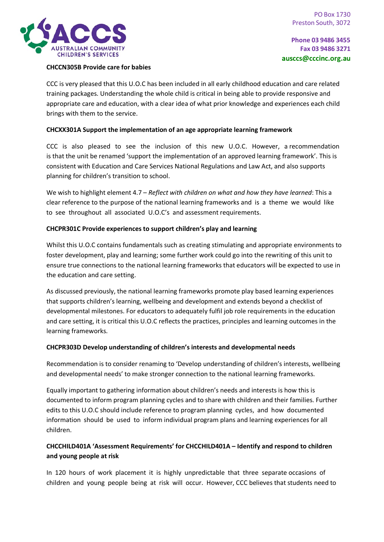

### **CHCCN305B Provide care for babies**

CCC is very pleased that this U.O.C has been included in all early childhood education and care related training packages. Understanding the whole child is critical in being able to provide responsive and appropriate care and education, with a clear idea of what prior knowledge and experiences each child brings with them to the service.

### **CHCXX301A Support the implementation of an age appropriate learning framework**

CCC is also pleased to see the inclusion of this new U.O.C. However, a recommendation is that the unit be renamed 'support the implementation of an approved learning framework'. This is consistent with Education and Care Services National Regulations and Law Act, and also supports planning for children's transition to school.

We wish to highlight element 4.7 – *Reflect with children on what and how they have learned*: This a clear reference to the purpose of the national learning frameworks and is a theme we would like to see throughout all associated U.O.C's and assessment requirements.

#### **CHCPR301C Provide experiences to support children's play and learning**

Whilst this U.O.C contains fundamentals such as creating stimulating and appropriate environments to foster development, play and learning; some further work could go into the rewriting of this unit to ensure true connections to the national learning frameworks that educators will be expected to use in the education and care setting.

As discussed previously, the national learning frameworks promote play based learning experiences that supports children's learning, wellbeing and development and extends beyond a checklist of developmental milestones. For educators to adequately fulfil job role requirements in the education and care setting, it is critical this U.O.C reflects the practices, principles and learning outcomes in the learning frameworks.

#### **CHCPR303D Develop understanding of children's interests and developmental needs**

Recommendation is to consider renaming to 'Develop understanding of children's interests, wellbeing and developmental needs' to make stronger connection to the national learning frameworks.

Equally important to gathering information about children's needs and interests is how this is documented to inform program planning cycles and to share with children and their families. Further edits to this U.O.C should include reference to program planning cycles, and how documented information should be used to inform individual program plans and learning experiences for all children.

# **CHCCHILD401A 'Assessment Requirements' for CHCCHILD401A – Identify and respond to children and young people at risk**

In 120 hours of work placement it is highly unpredictable that three separate occasions of children and young people being at risk will occur. However, CCC believes that students need to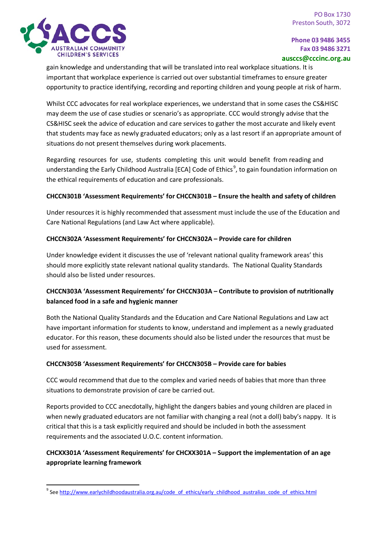

gain knowledge and understanding that will be translated into real workplace situations. It is important that workplace experience is carried out over substantial timeframes to ensure greater opportunity to practice identifying, recording and reporting children and young people at risk of harm.

Whilst CCC advocates for real workplace experiences, we understand that in some cases the CS&HISC may deem the use of case studies or scenario's as appropriate. CCC would strongly advise that the CS&HISC seek the advice of education and care services to gather the most accurate and likely event that students may face as newly graduated educators; only as a last resort if an appropriate amount of situations do not present themselves during work placements.

Regarding resources for use, students completing this unit would benefit from reading and understanding the Early Childhood Australia [ECA] Code of Ethics<sup>[9](#page-9-0)</sup>, to gain foundation information on the ethical requirements of education and care professionals.

## **CHCCN301B 'Assessment Requirements' for CHCCN301B – Ensure the health and safety of children**

Under resources it is highly recommended that assessment must include the use of the Education and Care National Regulations (and Law Act where applicable).

## **CHCCN302A 'Assessment Requirements' for CHCCN302A – Provide care for children**

Under knowledge evident it discusses the use of 'relevant national quality framework areas' this should more explicitly state relevant national quality standards. The National Quality Standards should also be listed under resources.

# **CHCCN303A 'Assessment Requirements' for CHCCN303A – Contribute to provision of nutritionally balanced food in a safe and hygienic manner**

Both the National Quality Standards and the Education and Care National Regulations and Law act have important information for students to know, understand and implement as a newly graduated educator. For this reason, these documents should also be listed under the resources that must be used for assessment.

# **CHCCN305B 'Assessment Requirements' for CHCCN305B – Provide care for babies**

CCC would recommend that due to the complex and varied needs of babies that more than three situations to demonstrate provision of care be carried out.

Reports provided to CCC anecdotally, highlight the dangers babies and young children are placed in when newly graduated educators are not familiar with changing a real (not a doll) baby's nappy. It is critical that this is a task explicitly required and should be included in both the assessment requirements and the associated U.O.C. content information.

# **CHCXX301A 'Assessment Requirements' for CHCXX301A – Support the implementation of an age appropriate learning framework**

<span id="page-9-0"></span><sup>9</sup> Se[e http://www.earlychildhoodaustralia.org.au/code\\_of\\_ethics/early\\_childhood\\_australias\\_code\\_of\\_ethics.html](http://www.earlychildhoodaustralia.org.au/code_of_ethics/early_childhood_australias_code_of_ethics.html)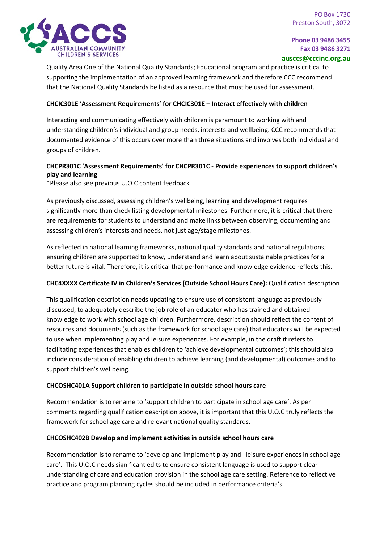

Quality Area One of the National Quality Standards; Educational program and practice is critical to supporting the implementation of an approved learning framework and therefore CCC recommend that the National Quality Standards be listed as a resource that must be used for assessment.

### **CHCIC301E 'Assessment Requirements' for CHCIC301E – Interact effectively with children**

Interacting and communicating effectively with children is paramount to working with and understanding children's individual and group needs, interests and wellbeing. CCC recommends that documented evidence of this occurs over more than three situations and involves both individual and groups of children.

## **CHCPR301C 'Assessment Requirements' for CHCPR301C - Provide experiences to support children's play and learning**

\*Please also see previous U.O.C content feedback

As previously discussed, assessing children's wellbeing, learning and development requires significantly more than check listing developmental milestones. Furthermore, it is critical that there are requirements for students to understand and make links between observing, documenting and assessing children's interests and needs, not just age/stage milestones.

As reflected in national learning frameworks, national quality standards and national regulations; ensuring children are supported to know, understand and learn about sustainable practices for a better future is vital. Therefore, it is critical that performance and knowledge evidence reflects this.

#### **CHC4XXXX Certificate IV in Children's Services (Outside School Hours Care):** Qualification description

This qualification description needs updating to ensure use of consistent language as previously discussed, to adequately describe the job role of an educator who has trained and obtained knowledge to work with school age children. Furthermore, description should reflect the content of resources and documents (such as the framework for school age care) that educators will be expected to use when implementing play and leisure experiences. For example, in the draft it refers to facilitating experiences that enables children to 'achieve developmental outcomes'; this should also include consideration of enabling children to achieve learning (and developmental) outcomes and to support children's wellbeing.

#### **CHCOSHC401A Support children to participate in outside school hours care**

Recommendation is to rename to 'support children to participate in school age care'. As per comments regarding qualification description above, it is important that this U.O.C truly reflects the framework for school age care and relevant national quality standards.

#### **CHCOSHC402B Develop and implement activities in outside school hours care**

Recommendation is to rename to 'develop and implement play and leisure experiences in school age care'. This U.O.C needs significant edits to ensure consistent language is used to support clear understanding of care and education provision in the school age care setting. Reference to reflective practice and program planning cycles should be included in performance criteria's.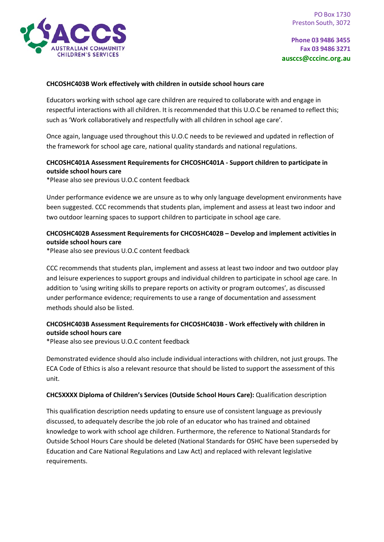

#### **CHCOSHC403B Work effectively with children in outside school hours care**

Educators working with school age care children are required to collaborate with and engage in respectful interactions with all children. It is recommended that this U.O.C be renamed to reflect this; such as 'Work collaboratively and respectfully with all children in school age care'.

Once again, language used throughout this U.O.C needs to be reviewed and updated in reflection of the framework for school age care, national quality standards and national regulations.

## **CHCOSHC401A Assessment Requirements for CHCOSHC401A - Support children to participate in outside school hours care**

\*Please also see previous U.O.C content feedback

Under performance evidence we are unsure as to why only language development environments have been suggested. CCC recommends that students plan, implement and assess at least two indoor and two outdoor learning spaces to support children to participate in school age care.

## **CHCOSHC402B Assessment Requirements for CHCOSHC402B – Develop and implement activities in outside school hours care**

\*Please also see previous U.O.C content feedback

CCC recommends that students plan, implement and assess at least two indoor and two outdoor play and leisure experiences to support groups and individual children to participate in school age care. In addition to 'using writing skills to prepare reports on activity or program outcomes', as discussed under performance evidence; requirements to use a range of documentation and assessment methods should also be listed.

## **CHCOSHC403B Assessment Requirements for CHCOSHC403B - Work effectively with children in outside school hours care**

\*Please also see previous U.O.C content feedback

Demonstrated evidence should also include individual interactions with children, not just groups. The ECA Code of Ethics is also a relevant resource that should be listed to support the assessment of this unit.

#### **CHC5XXXX Diploma of Children's Services (Outside School Hours Care):** Qualification description

This qualification description needs updating to ensure use of consistent language as previously discussed, to adequately describe the job role of an educator who has trained and obtained knowledge to work with school age children. Furthermore, the reference to National Standards for Outside School Hours Care should be deleted (National Standards for OSHC have been superseded by Education and Care National Regulations and Law Act) and replaced with relevant legislative requirements.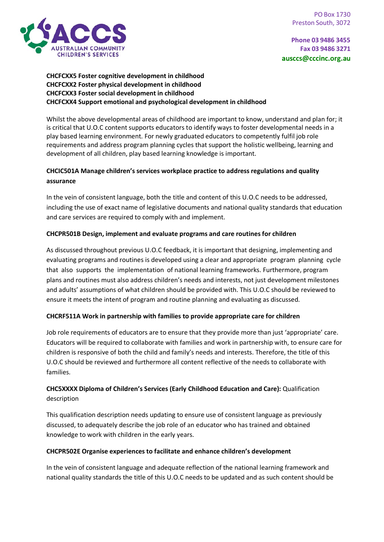

## **CHCFCXX5 Foster cognitive development in childhood CHCFCXX2 Foster physical development in childhood CHCFCXX3 Foster social development in childhood CHCFCXX4 Support emotional and psychological development in childhood**

Whilst the above developmental areas of childhood are important to know, understand and plan for; it is critical that U.O.C content supports educators to identify ways to foster developmental needs in a play based learning environment. For newly graduated educators to competently fulfil job role requirements and address program planning cycles that support the holistic wellbeing, learning and development of all children, play based learning knowledge is important.

# **CHCIC501A Manage children's services workplace practice to address regulations and quality assurance**

In the vein of consistent language, both the title and content of this U.O.C needs to be addressed, including the use of exact name of legislative documents and national quality standards that education and care services are required to comply with and implement.

# **CHCPR501B Design, implement and evaluate programs and care routines for children**

As discussed throughout previous U.O.C feedback, it is important that designing, implementing and evaluating programs and routines is developed using a clear and appropriate program planning cycle that also supports the implementation of national learning frameworks. Furthermore, program plans and routines must also address children's needs and interests, not just development milestones and adults' assumptions of what children should be provided with. This U.O.C should be reviewed to ensure it meets the intent of program and routine planning and evaluating as discussed.

## **CHCRF511A Work in partnership with families to provide appropriate care for children**

Job role requirements of educators are to ensure that they provide more than just 'appropriate' care. Educators will be required to collaborate with families and work in partnership with, to ensure care for children is responsive of both the child and family's needs and interests. Therefore, the title of this U.O.C should be reviewed and furthermore all content reflective of the needs to collaborate with families.

# **CHC5XXXX Diploma of Children's Services (Early Childhood Education and Care):** Qualification description

This qualification description needs updating to ensure use of consistent language as previously discussed, to adequately describe the job role of an educator who has trained and obtained knowledge to work with children in the early years.

## **CHCPR502E Organise experiences to facilitate and enhance children's development**

In the vein of consistent language and adequate reflection of the national learning framework and national quality standards the title of this U.O.C needs to be updated and as such content should be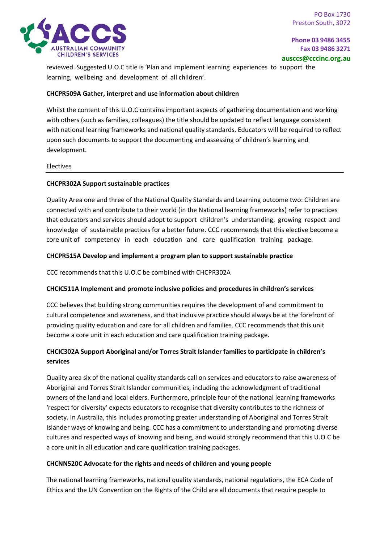

reviewed. Suggested U.O.C title is 'Plan and implement learning experiences to support the learning, wellbeing and development of all children'.

### **CHCPR509A Gather, interpret and use information about children**

Whilst the content of this U.O.C contains important aspects of gathering documentation and working with others (such as families, colleagues) the title should be updated to reflect language consistent with national learning frameworks and national quality standards. Educators will be required to reflect upon such documents to support the documenting and assessing of children's learning and development.

#### Electives

#### **CHCPR302A Support sustainable practices**

Quality Area one and three of the National Quality Standards and Learning outcome two: Children are connected with and contribute to their world (in the National learning frameworks) refer to practices that educators and services should adopt to support children's understanding, growing respect and knowledge of sustainable practices for a better future. CCC recommends that this elective become a core unit of competency in each education and care qualification training package.

### **CHCPR515A Develop and implement a program plan to support sustainable practice**

CCC recommends that this U.O.C be combined with CHCPR302A

#### **CHCIC511A Implement and promote inclusive policies and procedures in children's services**

CCC believes that building strong communities requires the development of and commitment to cultural competence and awareness, and that inclusive practice should always be at the forefront of providing quality education and care for all children and families. CCC recommends that this unit become a core unit in each education and care qualification training package.

# **CHCIC302A Support Aboriginal and/or Torres Strait Islander families to participate in children's services**

Quality area six of the national quality standards call on services and educators to raise awareness of Aboriginal and Torres Strait Islander communities, including the acknowledgment of traditional owners of the land and local elders. Furthermore, principle four of the national learning frameworks 'respect for diversity' expects educators to recognise that diversity contributes to the richness of society. In Australia, this includes promoting greater understanding of Aboriginal and Torres Strait Islander ways of knowing and being. CCC has a commitment to understanding and promoting diverse cultures and respected ways of knowing and being, and would strongly recommend that this U.O.C be a core unit in all education and care qualification training packages.

#### **CHCNN520C Advocate for the rights and needs of children and young people**

The national learning frameworks, national quality standards, national regulations, the ECA Code of Ethics and the UN Convention on the Rights of the Child are all documents that require people to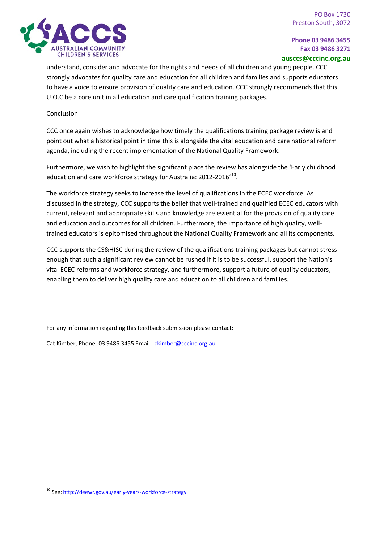

understand, consider and advocate for the rights and needs of all children and young people. CCC strongly advocates for quality care and education for all children and families and supports educators to have a voice to ensure provision of quality care and education. CCC strongly recommends that this U.O.C be a core unit in all education and care qualification training packages.

#### Conclusion

CCC once again wishes to acknowledge how timely the qualifications training package review is and point out what a historical point in time this is alongside the vital education and care national reform agenda, including the recent implementation of the National Quality Framework.

Furthermore, we wish to highlight the significant place the review has alongside the 'Early childhood education and care workforce strategy for Australia: 2012-2016'<sup>[10](#page-14-0)</sup>.

The workforce strategy seeks to increase the level of qualifications in the ECEC workforce. As discussed in the strategy, CCC supports the belief that well-trained and qualified ECEC educators with current, relevant and appropriate skills and knowledge are essential for the provision of quality care and education and outcomes for all children. Furthermore, the importance of high quality, welltrained educators is epitomised throughout the National Quality Framework and all its components.

CCC supports the CS&HISC during the review of the qualifications training packages but cannot stress enough that such a significant review cannot be rushed if it is to be successful, support the Nation's vital ECEC reforms and workforce strategy, and furthermore, support a future of quality educators, enabling them to deliver high quality care and education to all children and families.

For any information regarding this feedback submission please contact:

Cat Kimber, Phone: 03 9486 3455 Email: [ckimber@cccinc.org.au](mailto:ckimber@cccinc.org.au)

<span id="page-14-0"></span> <sup>10</sup> See[: http://deewr.gov.au/early-years-workforce-strategy](http://deewr.gov.au/early-years-workforce-strategy)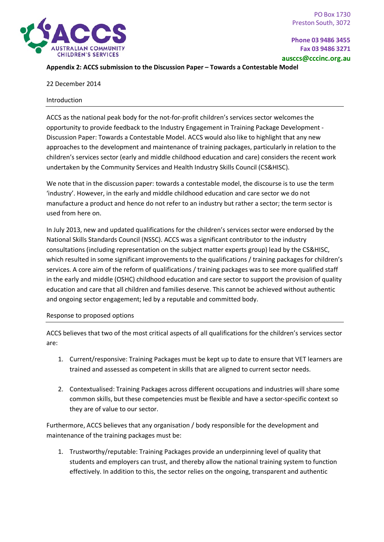

### **Appendix 2: ACCS submission to the Discussion Paper – Towards a Contestable Model**

22 December 2014

#### Introduction

ACCS as the national peak body for the not-for-profit children's services sector welcomes the opportunity to provide feedback to the Industry Engagement in Training Package Development - Discussion Paper: Towards a Contestable Model. ACCS would also like to highlight that any new approaches to the development and maintenance of training packages, particularly in relation to the children's services sector (early and middle childhood education and care) considers the recent work undertaken by the Community Services and Health Industry Skills Council (CS&HISC).

We note that in the discussion paper: towards a contestable model, the discourse is to use the term 'industry'. However, in the early and middle childhood education and care sector we do not manufacture a product and hence do not refer to an industry but rather a sector; the term sector is used from here on.

In July 2013, new and updated qualifications for the children's services sector were endorsed by the National Skills Standards Council (NSSC). ACCS was a significant contributor to the industry consultations (including representation on the subject matter experts group) lead by the CS&HISC, which resulted in some significant improvements to the qualifications / training packages for children's services. A core aim of the reform of qualifications / training packages was to see more qualified staff in the early and middle (OSHC) childhood education and care sector to support the provision of quality education and care that all children and families deserve. This cannot be achieved without authentic and ongoing sector engagement; led by a reputable and committed body.

#### Response to proposed options

ACCS believes that two of the most critical aspects of all qualifications for the children's services sector are:

- 1. Current/responsive: Training Packages must be kept up to date to ensure that VET learners are trained and assessed as competent in skills that are aligned to current sector needs.
- 2. Contextualised: Training Packages across different occupations and industries will share some common skills, but these competencies must be flexible and have a sector-specific context so they are of value to our sector.

Furthermore, ACCS believes that any organisation / body responsible for the development and maintenance of the training packages must be:

1. Trustworthy/reputable: Training Packages provide an underpinning level of quality that students and employers can trust, and thereby allow the national training system to function effectively. In addition to this, the sector relies on the ongoing, transparent and authentic